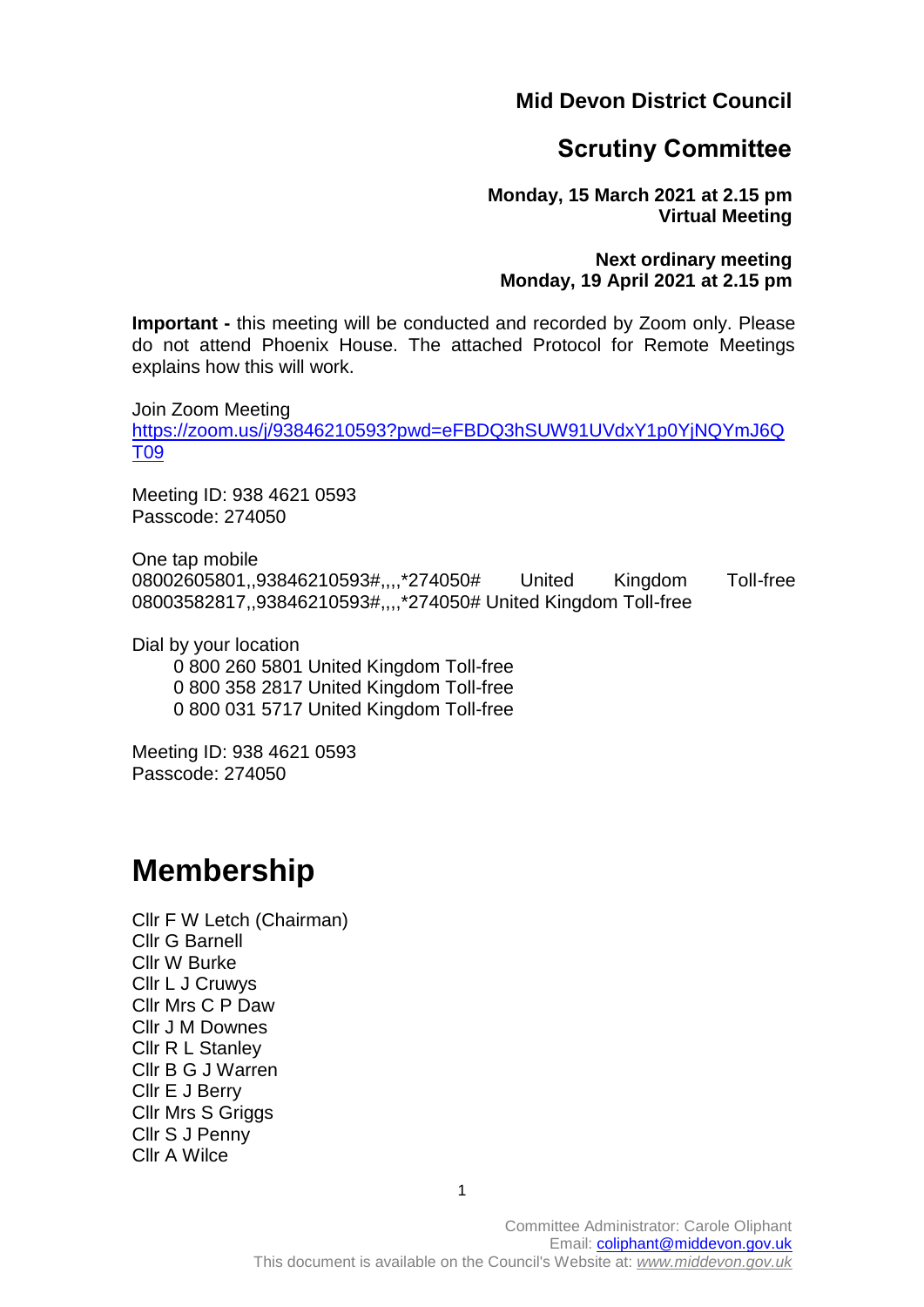**Mid Devon District Council**

## **Scrutiny Committee**

**Monday, 15 March 2021 at 2.15 pm Virtual Meeting**

## **Next ordinary meeting Monday, 19 April 2021 at 2.15 pm**

**Important -** this meeting will be conducted and recorded by Zoom only. Please do not attend Phoenix House. The attached Protocol for Remote Meetings explains how this will work.

Join Zoom Meeting [https://zoom.us/j/93846210593?pwd=eFBDQ3hSUW91UVdxY1p0YjNQYmJ6Q](https://zoom.us/j/93846210593?pwd=eFBDQ3hSUW91UVdxY1p0YjNQYmJ6QT09) [T09](https://zoom.us/j/93846210593?pwd=eFBDQ3hSUW91UVdxY1p0YjNQYmJ6QT09)

Meeting ID: 938 4621 0593 Passcode: 274050

One tap mobile 08002605801,,93846210593#,,,,\*274050# United Kingdom Toll-free 08003582817,,93846210593#,,,,\*274050# United Kingdom Toll-free

Dial by your location

 0 800 260 5801 United Kingdom Toll-free 0 800 358 2817 United Kingdom Toll-free 0 800 031 5717 United Kingdom Toll-free

Meeting ID: 938 4621 0593 Passcode: 274050

# **Membership**

Cllr F W Letch (Chairman) Cllr G Barnell Cllr W Burke Cllr L J Cruwys Cllr Mrs C P Daw Cllr J M Downes Cllr R L Stanley Cllr B G J Warren Cllr E J Berry Cllr Mrs S Griggs Cllr S J Penny Cllr A Wilce

1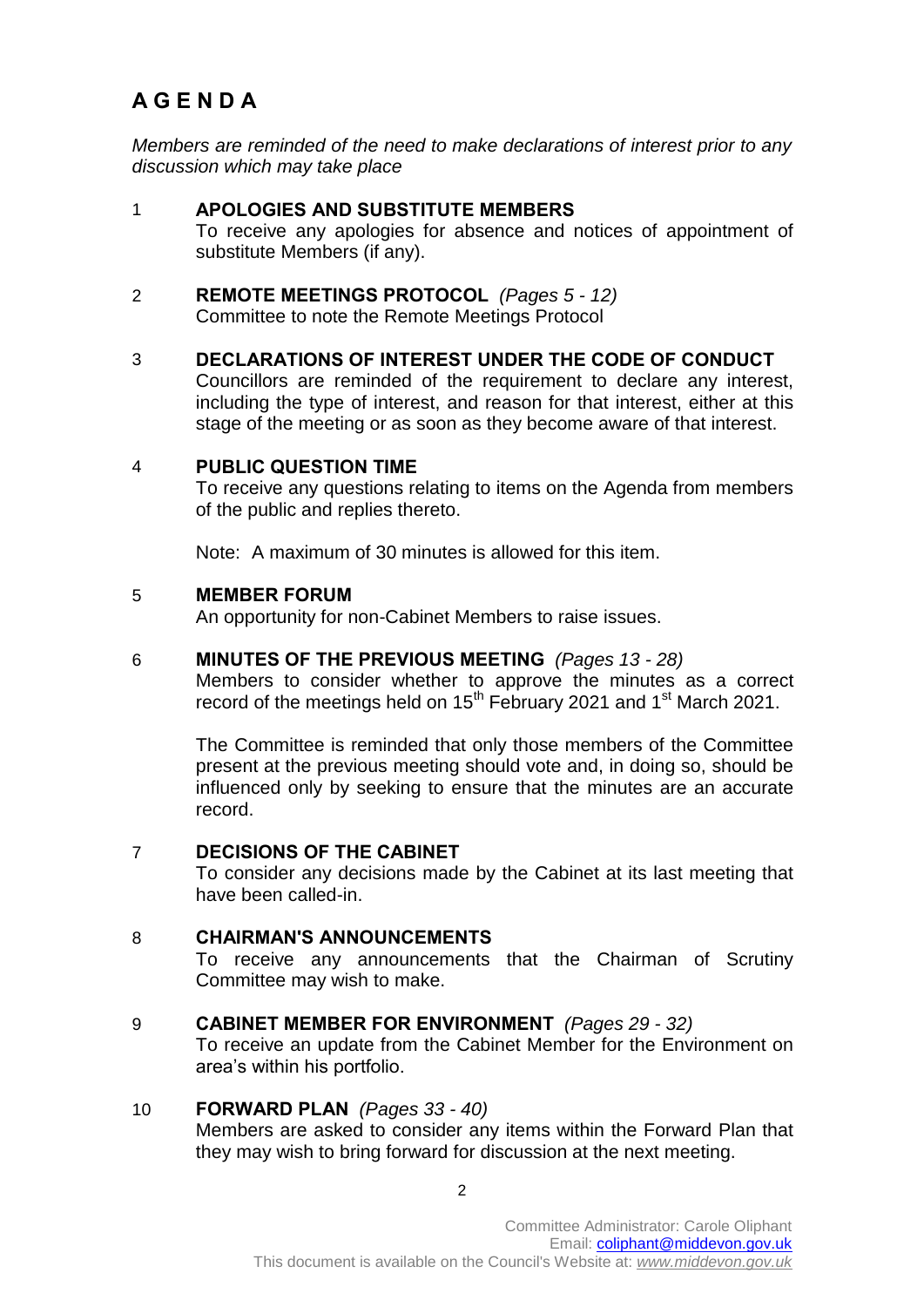# **A G E N D A**

*Members are reminded of the need to make declarations of interest prior to any discussion which may take place*

- 1 **APOLOGIES AND SUBSTITUTE MEMBERS**  To receive any apologies for absence and notices of appointment of substitute Members (if any).
- 2 **REMOTE MEETINGS PROTOCOL** *(Pages 5 - 12)* Committee to note the Remote Meetings Protocol
- 3 **DECLARATIONS OF INTEREST UNDER THE CODE OF CONDUCT**  Councillors are reminded of the requirement to declare any interest, including the type of interest, and reason for that interest, either at this stage of the meeting or as soon as they become aware of that interest.

## 4 **PUBLIC QUESTION TIME**

To receive any questions relating to items on the Agenda from members of the public and replies thereto.

Note: A maximum of 30 minutes is allowed for this item.

#### 5 **MEMBER FORUM**

An opportunity for non-Cabinet Members to raise issues.

#### 6 **MINUTES OF THE PREVIOUS MEETING** *(Pages 13 - 28)*

Members to consider whether to approve the minutes as a correct record of the meetings held on  $15^{th}$  February 2021 and 1<sup>st</sup> March 2021.

The Committee is reminded that only those members of the Committee present at the previous meeting should vote and, in doing so, should be influenced only by seeking to ensure that the minutes are an accurate record.

## 7 **DECISIONS OF THE CABINET**

To consider any decisions made by the Cabinet at its last meeting that have been called-in.

## 8 **CHAIRMAN'S ANNOUNCEMENTS**

To receive any announcements that the Chairman of Scrutiny Committee may wish to make.

#### 9 **CABINET MEMBER FOR ENVIRONMENT** *(Pages 29 - 32)*

To receive an update from the Cabinet Member for the Environment on area's within his portfolio.

## 10 **FORWARD PLAN** *(Pages 33 - 40)*

Members are asked to consider any items within the Forward Plan that they may wish to bring forward for discussion at the next meeting.